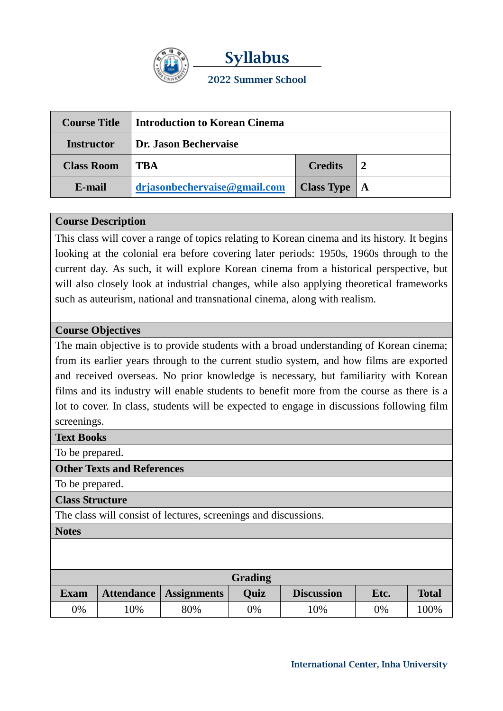

**Syllabus 2022 Summer School**

| <b>Course Title</b> | Introduction to Korean Cinema |                   |              |  |
|---------------------|-------------------------------|-------------------|--------------|--|
| <b>Instructor</b>   | Dr. Jason Bechervaise         |                   |              |  |
| <b>Class Room</b>   | TBA                           | <b>Credits</b>    |              |  |
| E-mail              | drjasonbechervaise@gmail.com  | <b>Class Type</b> | $^{\circ}$ A |  |

# **Course Description**

This class will cover a range of topics relating to Korean cinema and its history. It begins looking at the colonial era before covering later periods: 1950s, 1960s through to the current day. As such, it will explore Korean cinema from a historical perspective, but will also closely look at industrial changes, while also applying theoretical frameworks such as auteurism, national and transnational cinema, along with realism.

# **Course Objectives**

The main objective is to provide students with a broad understanding of Korean cinema; from its earlier years through to the current studio system, and how films are exported and received overseas. No prior knowledge is necessary, but familiarity with Korean films and its industry will enable students to benefit more from the course as there is a lot to cover. In class, students will be expected to engage in discussions following film screenings.

### **Text Books**

To be prepared.

### **Other Texts and References**

To be prepared.

**Class Structure**

The class will consist of lectures, screenings and discussions.

**Notes**

| Grading     |    |                          |      |                   |      |              |  |  |
|-------------|----|--------------------------|------|-------------------|------|--------------|--|--|
| <b>Exam</b> |    | Attendance   Assignments | Ouiz | <b>Discussion</b> | Etc. | <b>Total</b> |  |  |
| 0%          | 0% | 80%                      | 0%   | .0%               | 0%   | 100%         |  |  |